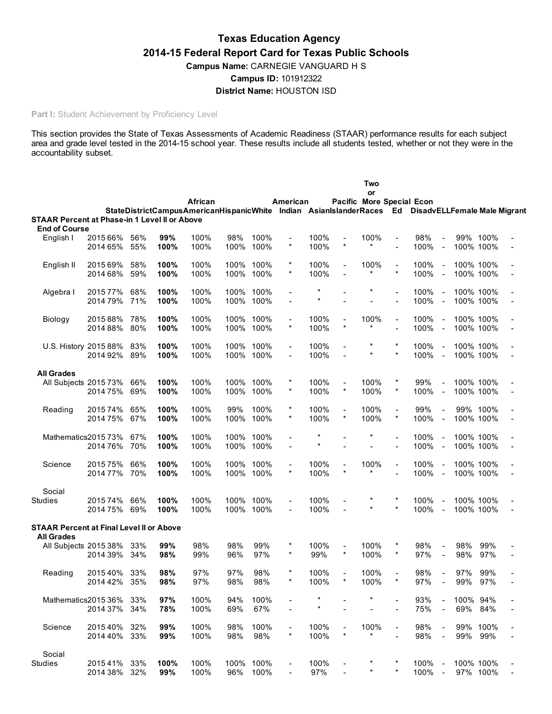# Texas Education Agency 2014-15 Federal Report Card for Texas Public Schools Campus Name: CARNEGIE VANGUARD H S Campus ID: 101912322 District Name: HOUSTON ISD

# Part I: Student Achievement by Proficiency Level

This section provides the State of Texas Assessments of Academic Readiness (STAAR) performance results for each subject area and grade level tested in the 2014-15 school year. These results include all students tested, whether or not they were in the accountability subset.

|                                                                      |          |     |      |                                                                                                    |      |           |                          |         |                           | Two<br>or       |                          |      |                          |           |     |                |
|----------------------------------------------------------------------|----------|-----|------|----------------------------------------------------------------------------------------------------|------|-----------|--------------------------|---------|---------------------------|-----------------|--------------------------|------|--------------------------|-----------|-----|----------------|
|                                                                      |          |     |      | African                                                                                            |      |           | American                 |         | Pacific More Special Econ |                 |                          |      |                          |           |     |                |
|                                                                      |          |     |      | StateDistrictCampusAmericanHispanicWhite Indian AsianIslanderRaces Ed DisadvELLFemale Male Migrant |      |           |                          |         |                           |                 |                          |      |                          |           |     |                |
| <b>STAAR Percent at Phase-in 1 Level II or Above</b>                 |          |     |      |                                                                                                    |      |           |                          |         |                           |                 |                          |      |                          |           |     |                |
| <b>End of Course</b><br>English I                                    | 2015 66% | 56% | 99%  | 100%                                                                                               | 98%  | 100%      | $\overline{a}$           | 100%    | $\blacksquare$            | 100%            | $\overline{\phantom{a}}$ | 98%  |                          | 99% 100%  |     |                |
|                                                                      | 2014 65% | 55% | 100% | 100%                                                                                               | 100% | 100%      | $\star$                  | 100%    | $\star$                   | $\star$         | $\overline{a}$           | 100% | $\blacksquare$           | 100% 100% |     |                |
|                                                                      |          |     |      |                                                                                                    |      |           |                          |         |                           |                 |                          |      |                          |           |     |                |
| English II                                                           | 2015 69% | 58% | 100% | 100%                                                                                               | 100% | 100%      |                          | 100%    | $\overline{a}$            | 100%            | $\overline{\phantom{a}}$ | 100% | $\blacksquare$           | 100% 100% |     |                |
|                                                                      | 2014 68% | 59% | 100% | 100%                                                                                               |      | 100% 100% | $^{\star}$               | 100%    |                           | $^\star$        | $\star$                  | 100% | $\blacksquare$           | 100% 100% |     |                |
| Algebra I                                                            | 2015 77% | 68% | 100% | 100%                                                                                               |      | 100% 100% |                          |         |                           |                 | $\overline{\phantom{a}}$ | 100% | $\blacksquare$           | 100% 100% |     |                |
|                                                                      | 201479%  | 71% | 100% | 100%                                                                                               |      | 100% 100% | $\blacksquare$           | $\star$ |                           |                 | $\overline{a}$           | 100% | $\blacksquare$           | 100% 100% |     |                |
|                                                                      |          |     |      |                                                                                                    |      |           |                          |         |                           |                 |                          |      |                          |           |     |                |
| Biology                                                              | 201588%  | 78% | 100% | 100%                                                                                               |      | 100% 100% |                          | 100%    | $\overline{a}$            | 100%            | $\blacksquare$           | 100% | $\blacksquare$           | 100% 100% |     |                |
|                                                                      | 2014 88% | 80% | 100% | 100%                                                                                               | 100% | 100%      | $^{\star}$               | 100%    | *                         |                 | $\overline{a}$           | 100% | $\blacksquare$           | 100% 100% |     |                |
| U.S. History 2015 88%                                                |          | 83% | 100% | 100%                                                                                               |      | 100% 100% | $\blacksquare$           | 100%    | $\overline{a}$            |                 |                          | 100% | $\blacksquare$           | 100% 100% |     |                |
|                                                                      | 2014 92% | 89% | 100% | 100%                                                                                               |      | 100% 100% | $\overline{a}$           | 100%    |                           |                 | $\star$                  | 100% | $\blacksquare$           | 100% 100% |     |                |
|                                                                      |          |     |      |                                                                                                    |      |           |                          |         |                           |                 |                          |      |                          |           |     |                |
| <b>All Grades</b>                                                    |          |     |      |                                                                                                    |      |           |                          |         |                           |                 |                          |      |                          |           |     |                |
| All Subjects 2015 73%                                                |          | 66% | 100% | 100%                                                                                               |      | 100% 100% | $\ast$<br>$^{\star}$     | 100%    | $\blacksquare$<br>$\star$ | 100%            | $\star$                  | 99%  | $\blacksquare$           | 100% 100% |     |                |
|                                                                      | 2014 75% | 69% | 100% | 100%                                                                                               | 100% | 100%      |                          | 100%    |                           | 100%            |                          | 100% | $\blacksquare$           | 100% 100% |     |                |
| Reading                                                              | 2015 74% | 65% | 100% | 100%                                                                                               | 99%  | 100%      | $\star$                  | 100%    | $\blacksquare$            | 100%            | $\blacksquare$           | 99%  | $\blacksquare$           | 99% 100%  |     |                |
|                                                                      | 201475%  | 67% | 100% | 100%                                                                                               |      | 100% 100% | $\star$                  | 100%    | $\star$                   | 100%            | $\star$                  | 100% | $\overline{\phantom{a}}$ | 100% 100% |     |                |
|                                                                      |          |     |      |                                                                                                    |      |           |                          |         |                           |                 |                          |      |                          |           |     |                |
| Mathematics201573%                                                   |          | 67% | 100% | 100%                                                                                               | 100% | 100%      |                          | $\star$ |                           |                 |                          | 100% | $\overline{\phantom{a}}$ | 100% 100% |     |                |
|                                                                      | 201476%  | 70% | 100% | 100%                                                                                               | 100% | 100%      |                          | $\star$ |                           |                 |                          | 100% | $\blacksquare$           | 100% 100% |     |                |
| Science                                                              | 201575%  | 66% | 100% | 100%                                                                                               |      | 100% 100% |                          | 100%    | $\blacksquare$            | 100%            | $\blacksquare$           | 100% | $\blacksquare$           | 100% 100% |     |                |
|                                                                      | 201477%  | 70% | 100% | 100%                                                                                               |      | 100% 100% | $\star$                  | 100%    | $\star$                   |                 |                          | 100% | $\blacksquare$           | 100% 100% |     |                |
|                                                                      |          |     |      |                                                                                                    |      |           |                          |         |                           |                 |                          |      |                          |           |     |                |
| Social                                                               |          |     |      |                                                                                                    |      |           |                          |         |                           |                 |                          |      |                          |           |     |                |
| Studies                                                              | 201574%  | 66% | 100% | 100%                                                                                               |      | 100% 100% |                          | 100%    |                           |                 | $\star$                  | 100% | $\blacksquare$           | 100% 100% |     |                |
|                                                                      | 201475%  | 69% | 100% | 100%                                                                                               |      | 100% 100% | $\overline{\phantom{a}}$ | 100%    |                           |                 |                          | 100% | $\blacksquare$           | 100% 100% |     | $\blacksquare$ |
| <b>STAAR Percent at Final Level II or Above</b><br><b>All Grades</b> |          |     |      |                                                                                                    |      |           |                          |         |                           |                 |                          |      |                          |           |     |                |
| All Subjects 2015 38%                                                |          | 33% | 99%  | 98%                                                                                                | 98%  | 99%       |                          | 100%    | $\blacksquare$            | 100%            | $\ast$                   | 98%  | $\blacksquare$           | 98%       | 99% |                |
|                                                                      | 2014 39% | 34% | 98%  | 99%                                                                                                | 96%  | 97%       | $^\star$                 | 99%     | $\star$                   | 100%            | $\star$                  | 97%  | $\overline{\phantom{a}}$ | 98%       | 97% |                |
|                                                                      |          |     |      |                                                                                                    |      |           |                          |         |                           |                 |                          |      |                          |           |     |                |
| Reading                                                              | 2015 40% | 33% | 98%  | 97%                                                                                                | 97%  | 98%       |                          | 100%    | Ξ.                        | 100%            | $\overline{\phantom{a}}$ | 98%  | $\blacksquare$           | 97%       | 99% |                |
|                                                                      | 2014 42% | 35% | 98%  | 97%                                                                                                | 98%  | 98%       |                          | 100%    |                           | 100%            |                          | 97%  |                          | 99%       | 97% |                |
| Mathematics201536%                                                   |          | 33% | 97%  | 100%                                                                                               | 94%  | 100%      |                          | *       |                           |                 |                          | 93%  | $\blacksquare$           | 100% 94%  |     |                |
|                                                                      | 2014 37% | 34% | 78%  | 100%                                                                                               | 69%  | 67%       |                          | $\star$ |                           |                 |                          | 75%  | $\blacksquare$           | 69%       | 84% |                |
|                                                                      |          |     |      |                                                                                                    |      |           |                          |         |                           |                 |                          |      |                          |           |     |                |
| Science                                                              | 201540%  | 32% | 99%  | 100%                                                                                               | 98%  | 100%      | $\overline{\phantom{a}}$ | 100%    |                           | 100%<br>$\star$ |                          | 98%  | $\blacksquare$           | 99% 100%  |     |                |
|                                                                      | 2014 40% | 33% | 99%  | 100%                                                                                               | 98%  | 98%       | $\star$                  | 100%    | $\star$                   |                 |                          | 98%  | $\blacksquare$           | 99%       | 99% |                |
| Social                                                               |          |     |      |                                                                                                    |      |           |                          |         |                           |                 |                          |      |                          |           |     |                |
| <b>Studies</b>                                                       | 201541%  | 33% | 100% | 100%                                                                                               |      | 100% 100% |                          | 100%    |                           |                 |                          | 100% | $\sim$                   | 100% 100% |     |                |
|                                                                      | 2014 38% | 32% | 99%  | 100%                                                                                               | 96%  | 100%      |                          | 97%     |                           |                 | $\star$                  | 100% | $\sim$                   | 97% 100%  |     |                |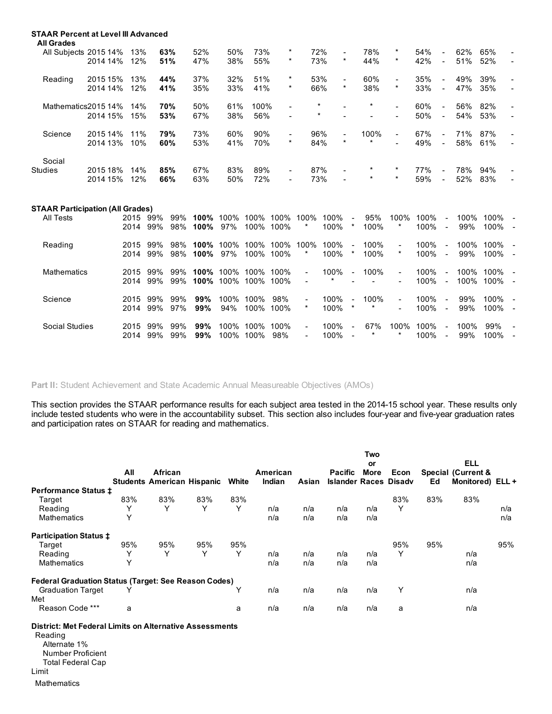| <b>STAAR Percent at Level III Advanced</b><br><b>All Grades</b> |          |     |     |     |     |      |                              |          |                          |          |                          |     |                          |     |     |                |
|-----------------------------------------------------------------|----------|-----|-----|-----|-----|------|------------------------------|----------|--------------------------|----------|--------------------------|-----|--------------------------|-----|-----|----------------|
| All Subjects 2015 14%                                           |          | 13% | 63% | 52% | 50% | 73%  | $\ast$                       | 72%      | $\blacksquare$           | 78%      | $\ast$                   | 54% | $\overline{\phantom{0}}$ | 62% | 65% | $\blacksquare$ |
|                                                                 | 2014 14% | 12% | 51% | 47% | 38% | 55%  | $\ast$                       | 73%      | $\star$                  | 44%      | $\star$                  | 42% | $\sim$                   | 51% | 52% | $\overline{a}$ |
| Reading                                                         | 2015 15% | 13% | 44% | 37% | 32% | 51%  | $\ast$                       | 53%      | $\blacksquare$           | 60%      | $\blacksquare$           | 35% | $\blacksquare$           | 49% | 39% | $\blacksquare$ |
|                                                                 | 2014 14% | 12% | 41% | 35% | 33% | 41%  | $\star$                      | 66%      | $\star$                  | 38%      | $\star$                  | 33% |                          | 47% | 35% |                |
| Mathematics 2015 14%                                            |          | 14% | 70% | 50% | 61% | 100% | $\qquad \qquad \blacksquare$ | $\star$  |                          | $^\star$ | $\blacksquare$           | 60% | н.                       | 56% | 82% | $\blacksquare$ |
|                                                                 | 2014 15% | 15% | 53% | 67% | 38% | 56%  | $\blacksquare$               | $^\star$ |                          |          | $\overline{\phantom{a}}$ | 50% |                          | 54% | 53% |                |
| Science                                                         | 2015 14% | 11% | 79% | 73% | 60% | 90%  | $\overline{\phantom{a}}$     | 96%      | $\overline{\phantom{a}}$ | 100%     | $\blacksquare$           | 67% | $\sim$                   | 71% | 87% |                |
|                                                                 | 2014 13% | 10% | 60% | 53% | 41% | 70%  | $\ast$                       | 84%      | $\star$                  | $\star$  | $\overline{\phantom{a}}$ | 49% | $\sim$                   | 58% | 61% |                |
| Social                                                          |          |     |     |     |     |      |                              |          |                          |          |                          |     |                          |     |     |                |
| <b>Studies</b>                                                  | 2015 18% | 14% | 85% | 67% | 83% | 89%  | $\blacksquare$               | 87%      | $\blacksquare$           | $^\star$ | $^\star$                 | 77% |                          | 78% | 94% |                |
|                                                                 | 2014 15% | 12% | 66% | 63% | 50% | 72%  | $\blacksquare$               | 73%      | $\blacksquare$           | $\star$  | $\star$                  | 59% | $\overline{\phantom{0}}$ | 52% | 83% |                |
|                                                                 |          |     |     |     |     |      |                              |          |                          |          |                          |     |                          |     |     |                |

### STAAR Participation (All Grades)

| All Tests      | 2015<br>2014 | 99%<br>99% | 99%<br>98% | 100%<br>100%    | 100%<br>97%  | 100%<br>100% | 100%<br>100% | 100%<br>$^{\star}$               | 100%<br>100%   | $\sim$<br>*                         | 95%<br>100%   | 100%<br>*                                  | 100%<br>100% | Ξ.<br>$\sim$             | 100%<br>99%  | 100%<br>100% |                |
|----------------|--------------|------------|------------|-----------------|--------------|--------------|--------------|----------------------------------|----------------|-------------------------------------|---------------|--------------------------------------------|--------------|--------------------------|--------------|--------------|----------------|
| Reading        | 2015<br>2014 | 99%<br>99% | 98%<br>98% | 100%<br>$100\%$ | 100%<br>97%  | 100%<br>100% | 100%<br>100% | 100%<br>*                        | 100%<br>100%   | $\blacksquare$<br>*                 | 100%<br>100%  | $\blacksquare$<br>$\ast$                   | 100%<br>100% | $\sim$<br>$\sim$         | 100%<br>99%  | 100%<br>100% | $\sim$         |
| Mathematics    | 2015<br>2014 | 99%<br>99% | 99%<br>99% | 100%<br>100%    | 100%<br>100% | 100%<br>100% | 100%<br>100% | $\blacksquare$<br>$\sim$         | 100%<br>$\ast$ | $\blacksquare$                      | 100%          | $\blacksquare$<br>$\overline{\phantom{a}}$ | 100%<br>100% | $\sim$<br>$\sim$         | 100%<br>100% | 100%<br>100% |                |
| Science        | 2015<br>2014 | 99%<br>99% | 99%<br>97% | 99%<br>99%      | 100%<br>94%  | 100%<br>100% | 98%<br>100%  | $\sim$<br>$\ast$                 | 100%<br>100%   | $\overline{\phantom{a}}$<br>$^\ast$ | 100%<br>*     | $\sim$<br>$\overline{\phantom{a}}$         | 100%<br>100% | $\blacksquare$<br>$\sim$ | 99%<br>99%   | 100%<br>100% |                |
| Social Studies | 2015<br>2014 | 99%<br>99% | 99%<br>99% | 99%<br>99%      | 100%<br>100% | 100%<br>100% | 100%<br>98%  | $\blacksquare$<br>$\blacksquare$ | 100%<br>100%   | $\blacksquare$                      | 67%<br>$\ast$ | 100%<br>$\star$                            | 100%<br>100% | $\sim$<br>$\sim$         | 100%<br>99%  | 99%<br>100%  | $\blacksquare$ |

Part II: Student Achievement and State Academic Annual Measureable Objectives (AMOs)

This section provides the STAAR performance results for each subject area tested in the 2014-15 school year. These results only include tested students who were in the accountability subset. This section also includes four-year and five-year graduation rates and participation rates on STAAR for reading and mathematics.

|                                                             |     |                                              |     |       |                    |       |                                                | Two<br>or   |      |     | <b>ELL</b>                                        |     |
|-------------------------------------------------------------|-----|----------------------------------------------|-----|-------|--------------------|-------|------------------------------------------------|-------------|------|-----|---------------------------------------------------|-----|
|                                                             | All | African<br><b>Students American Hispanic</b> |     | White | American<br>Indian | Asian | <b>Pacific</b><br><b>Islander Races Disady</b> | <b>More</b> | Econ | Ed  | <b>Special (Current &amp;</b><br>Monitored) ELL + |     |
| <b>Performance Status ±</b>                                 |     |                                              |     |       |                    |       |                                                |             |      |     |                                                   |     |
| Target                                                      | 83% | 83%                                          | 83% | 83%   |                    |       |                                                |             | 83%  | 83% | 83%                                               |     |
| Reading                                                     | Υ   | Y                                            | Y   | Υ     | n/a                | n/a   | n/a                                            | n/a         | Y    |     |                                                   | n/a |
| <b>Mathematics</b>                                          | Υ   |                                              |     |       | n/a                | n/a   | n/a                                            | n/a         |      |     |                                                   | n/a |
| <b>Participation Status ‡</b>                               |     |                                              |     |       |                    |       |                                                |             |      |     |                                                   |     |
| Target                                                      | 95% | 95%                                          | 95% | 95%   |                    |       |                                                |             | 95%  | 95% |                                                   | 95% |
| Reading                                                     | Υ   | Υ                                            | Υ   | Υ     | n/a                | n/a   | n/a                                            | n/a         | Υ    |     | n/a                                               |     |
| <b>Mathematics</b>                                          | Υ   |                                              |     |       | n/a                | n/a   | n/a                                            | n/a         |      |     | n/a                                               |     |
| <b>Federal Graduation Status (Target: See Reason Codes)</b> |     |                                              |     |       |                    |       |                                                |             |      |     |                                                   |     |
| <b>Graduation Target</b>                                    | Υ   |                                              |     | Υ     | n/a                | n/a   | n/a                                            | n/a         | Υ    |     | n/a                                               |     |
| Met                                                         |     |                                              |     |       |                    |       |                                                |             |      |     |                                                   |     |
| Reason Code ***                                             | a   |                                              |     | a     | n/a                | n/a   | n/a                                            | n/a         | a    |     | n/a                                               |     |
| .                                                           |     |                                              |     |       |                    |       |                                                |             |      |     |                                                   |     |

District: Met Federal Limits on Alternative Assessments Reading

- Alternate 1% Number Proficient
- Total Federal Cap
- Limit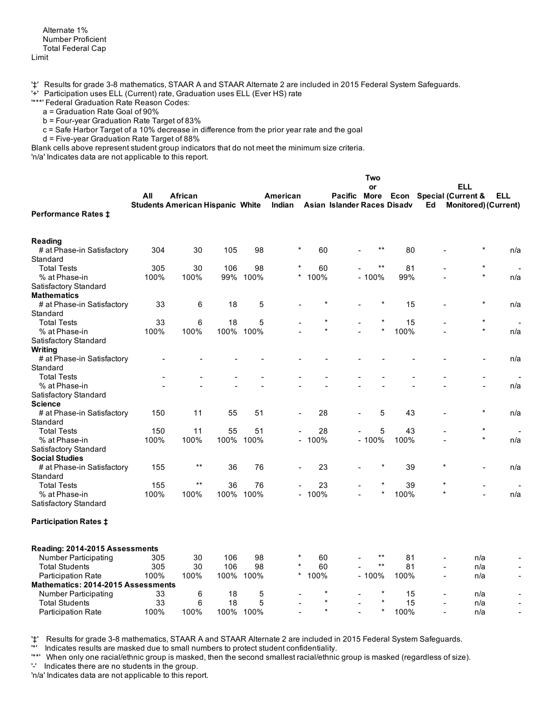'#' Results for grade 3-8 mathematics, STAAR A and STAAR Alternate 2 are included in 2015 Federal System Safeguards.

'+' Participation uses ELL (Current) rate, Graduation uses ELL (Ever HS) rate

'\*\*\*' Federal Graduation Rate Reason Codes:

a = Graduation Rate Goal of 90%

 $b$  = Four-year Graduation Rate Target of 83%

c = Safe Harbor Target of a 10% decrease in difference from the prior year rate and the goal

d = Five-year Graduation Rate Target of 88%

Blank cells above represent student group indicators that do not meet the minimum size criteria.

'n/a' Indicates data are not applicable to this report.

|                                           |      |                                         |      |      |                |          |                             | Two     |      |                |                                |        |
|-------------------------------------------|------|-----------------------------------------|------|------|----------------|----------|-----------------------------|---------|------|----------------|--------------------------------|--------|
|                                           |      |                                         |      |      |                |          |                             | or      |      |                | ELL                            |        |
|                                           | All  | African                                 |      |      | American       |          | Pacific More                |         |      |                | <b>Econ</b> Special (Current & | ELL    |
|                                           |      | <b>Students American Hispanic White</b> |      |      | Indian         |          | Asian Islander Races Disadv |         |      | Ed             | <b>Monitored) (Current)</b>    |        |
| <b>Performance Rates ‡</b>                |      |                                         |      |      |                |          |                             |         |      |                |                                |        |
|                                           |      |                                         |      |      |                |          |                             |         |      |                |                                |        |
| <b>Reading</b>                            |      |                                         |      |      |                |          |                             |         |      |                |                                |        |
| # at Phase-in Satisfactory                | 304  | 30                                      | 105  | 98   | $\star$        | 60       |                             | $***$   | 80   |                | $\star$                        | n/a    |
| Standard                                  |      |                                         |      |      |                |          |                             |         |      |                |                                |        |
| <b>Total Tests</b>                        | 305  | 30                                      | 106  | 98   |                | 60       |                             | $***$   | 81   |                | $\star$                        |        |
| % at Phase-in                             | 100% | 100%                                    | 99%  | 100% | $\star$        | 100%     |                             | $-100%$ | 99%  |                | $\star$                        | n/a    |
| Satisfactory Standard                     |      |                                         |      |      |                |          |                             |         |      |                |                                |        |
| <b>Mathematics</b>                        |      |                                         |      |      |                |          |                             |         |      |                |                                |        |
| # at Phase-in Satisfactory                | 33   | 6                                       | 18   | 5    |                |          |                             |         | 15   |                |                                | n/a    |
| Standard                                  |      |                                         |      |      |                |          |                             |         |      |                |                                |        |
| <b>Total Tests</b>                        | 33   | 6                                       | 18   | 5    |                |          |                             |         | 15   |                | $\star$                        |        |
| % at Phase-in                             | 100% | 100%                                    | 100% | 100% |                | $\star$  |                             | $\star$ | 100% |                | $\star$                        | n/a    |
| Satisfactory Standard                     |      |                                         |      |      |                |          |                             |         |      |                |                                |        |
| Writing                                   |      |                                         |      |      |                |          |                             |         |      |                |                                |        |
| # at Phase-in Satisfactory                |      |                                         |      |      |                |          |                             |         |      |                |                                | n/a    |
| Standard                                  |      |                                         |      |      |                |          |                             |         |      |                |                                |        |
| <b>Total Tests</b>                        |      |                                         |      |      |                |          |                             |         |      |                | $\overline{\phantom{a}}$       | $\sim$ |
| % at Phase-in                             |      |                                         |      |      |                |          |                             |         |      |                |                                | n/a    |
| Satisfactory Standard                     |      |                                         |      |      |                |          |                             |         |      |                |                                |        |
| <b>Science</b>                            |      |                                         |      |      |                |          |                             |         |      |                |                                |        |
| # at Phase-in Satisfactory                | 150  | 11                                      | 55   | 51   |                | 28       |                             | 5       | 43   |                |                                | n/a    |
| Standard                                  |      |                                         |      |      |                |          |                             |         |      |                |                                |        |
| <b>Total Tests</b>                        | 150  | 11                                      | 55   | 51   |                | 28       |                             | 5       | 43   |                | $\star$                        |        |
| % at Phase-in                             | 100% | 100%                                    | 100% | 100% | $\blacksquare$ | 100%     |                             | $-100%$ | 100% |                | $\star$                        | n/a    |
| Satisfactory Standard                     |      |                                         |      |      |                |          |                             |         |      |                |                                |        |
| <b>Social Studies</b>                     |      |                                         |      |      |                |          |                             |         |      |                |                                |        |
| # at Phase-in Satisfactory                | 155  | $***$                                   | 36   | 76   |                | 23       |                             |         | 39   | $\star$        |                                | n/a    |
| Standard                                  |      |                                         |      |      |                |          |                             |         |      |                |                                |        |
| <b>Total Tests</b>                        | 155  | $\star\star$                            | 36   | 76   |                | 23       |                             |         | 39   | $\star$        |                                |        |
| % at Phase-in                             | 100% | 100%                                    | 100% | 100% |                | $-100\%$ |                             | $\star$ | 100% | $\star$        |                                | n/a    |
| Satisfactory Standard                     |      |                                         |      |      |                |          |                             |         |      |                |                                |        |
| <b>Participation Rates ‡</b>              |      |                                         |      |      |                |          |                             |         |      |                |                                |        |
|                                           |      |                                         |      |      |                |          |                             |         |      |                |                                |        |
| Reading: 2014-2015 Assessments            |      |                                         |      |      |                |          |                             |         |      |                |                                |        |
| Number Participating                      | 305  | 30                                      | 106  | 98   | $\star$        | 60       |                             | $***$   | 81   |                | n/a                            |        |
| <b>Total Students</b>                     | 305  | 30                                      | 106  | 98   | $^\star$       | 60       |                             | $***$   | 81   | $\overline{a}$ | n/a                            |        |
| <b>Participation Rate</b>                 | 100% | 100%                                    | 100% | 100% | $\star$        | 100%     |                             | $-100%$ | 100% | $\overline{a}$ | n/a                            |        |
| <b>Mathematics: 2014-2015 Assessments</b> |      |                                         |      |      |                |          |                             |         |      |                |                                |        |
| Number Participating                      | 33   | 6                                       | 18   | 5    |                | $\ast$   |                             | $\star$ | 15   |                | n/a                            |        |
| <b>Total Students</b>                     | 33   | 6                                       | 18   | 5    |                | $\star$  |                             |         | 15   | $\blacksquare$ | n/a                            |        |
| <b>Participation Rate</b>                 | 100% | 100%                                    | 100% | 100% |                | $\star$  |                             | $\star$ | 100% | $\overline{a}$ | n/a                            |        |

'‡' Results for grade 3-8 mathematics, STAAR A and STAAR Alternate 2 are included in 2015 Federal System Safeguards.<br>"Indicates results are masked due to small numbers to protect at determinations in the substitution

Indicates results are masked due to small numbers to protect student confidentiality.

'\*\*' When only one racial/ethnic group is masked, then the second smallest racial/ethnic group is masked (regardless of size).

'' Indicates there are no students in the group.

'n/a' Indicates data are not applicable to this report.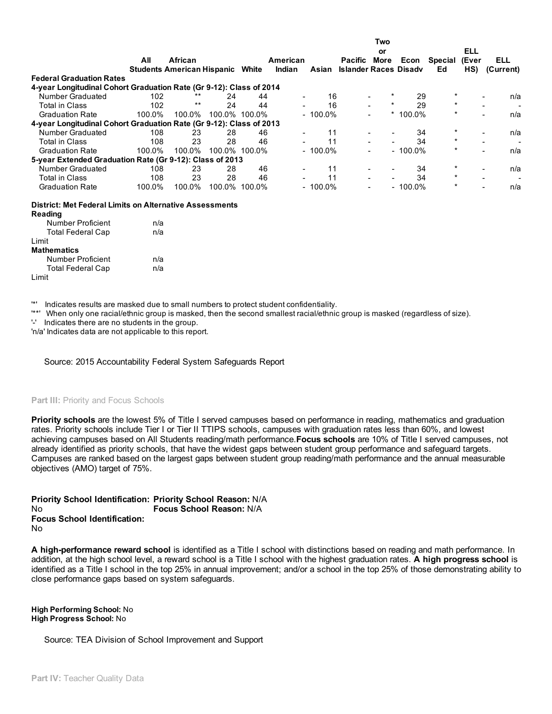|                                                                     |        |                                         |        |               |          |            |                              | Two                      |            |          |            |           |
|---------------------------------------------------------------------|--------|-----------------------------------------|--------|---------------|----------|------------|------------------------------|--------------------------|------------|----------|------------|-----------|
|                                                                     |        |                                         |        |               |          |            |                              | or                       |            |          | <b>ELL</b> |           |
|                                                                     | All    | African                                 |        |               | American |            | <b>Pacific</b>               | More                     | Econ       | Special  | (Ever      | ELL       |
|                                                                     |        | <b>Students American Hispanic White</b> |        |               | Indian   | Asian      | <b>Islander Races Disady</b> |                          |            | Ed       | HS)        | (Current) |
| <b>Federal Graduation Rates</b>                                     |        |                                         |        |               |          |            |                              |                          |            |          |            |           |
| 4-year Longitudinal Cohort Graduation Rate (Gr 9-12): Class of 2014 |        |                                         |        |               |          |            |                              |                          |            |          |            |           |
| Number Graduated                                                    | 102    | $***$                                   | 24     | 44            |          | 16         |                              |                          | 29         | $^\star$ |            | n/a       |
| <b>Total in Class</b>                                               | 102    | $***$                                   | 24     | 44            |          | 16         |                              | $^\star$                 | 29         | $\ast$   |            |           |
| <b>Graduation Rate</b>                                              | 100.0% | 100.0%                                  |        | 100.0% 100.0% |          | $-100.0\%$ |                              |                          | $*100.0\%$ | $\star$  |            | n/a       |
| 4-year Longitudinal Cohort Graduation Rate (Gr 9-12): Class of 2013 |        |                                         |        |               |          |            |                              |                          |            |          |            |           |
| Number Graduated                                                    | 108    | 23                                      | 28     | 46            |          | 11         |                              |                          | 34         | $\ast$   |            | n/a       |
| <b>Total in Class</b>                                               | 108    | 23                                      | 28     | 46            |          | 11         |                              | ۰                        | 34         | $\ast$   |            |           |
| <b>Graduation Rate</b>                                              | 100.0% | 100.0%                                  |        | 100.0% 100.0% |          | $-100.0\%$ |                              | $\blacksquare$           | $-100.0\%$ | $\ast$   |            | n/a       |
| 5-year Extended Graduation Rate (Gr 9-12): Class of 2013            |        |                                         |        |               |          |            |                              |                          |            |          |            |           |
| Number Graduated                                                    | 108    | 23                                      | 28     | 46            |          | 11         |                              | ۰                        | 34         | $\ast$   |            | n/a       |
| <b>Total in Class</b>                                               | 108    | 23                                      | 28     | 46            |          | 11         |                              | $\overline{\phantom{a}}$ | 34         | $\ast$   |            |           |
| <b>Graduation Rate</b>                                              | 100.0% | 100.0%                                  | 100.0% | 100.0%        |          | $-100.0\%$ |                              | ۰                        | $-100.0\%$ | $\star$  |            | n/a       |
| <b>District: Met Federal Limits on Alternative Assessments</b>      |        |                                         |        |               |          |            |                              |                          |            |          |            |           |
| Reading<br>Number Proficient                                        | n/a    |                                         |        |               |          |            |                              |                          |            |          |            |           |

| <b>Total Federal Cap</b> | n/a |
|--------------------------|-----|
| Limit                    |     |
| <b>Mathematics</b>       |     |
| Number Proficient        | n/a |
| <b>Total Federal Cap</b> | n/a |
| Limit                    |     |

'\*' Indicates results are masked due to small numbers to protect student confidentiality.

'\*\*' When only one racial/ethnic group is masked, then the second smallest racial/ethnic group is masked (regardless of size).

'' Indicates there are no students in the group.

'n/a' Indicates data are not applicable to this report.

Source: 2015 Accountability Federal System Safeguards Report

# Part III: Priority and Focus Schools

Priority schools are the lowest 5% of Title I served campuses based on performance in reading, mathematics and graduation rates. Priority schools include Tier I or Tier II TTIPS schools, campuses with graduation rates less than 60%, and lowest achieving campuses based on All Students reading/math performance. Focus schools are 10% of Title I served campuses, not already identified as priority schools, that have the widest gaps between student group performance and safeguard targets. Campuses are ranked based on the largest gaps between student group reading/math performance and the annual measurable objectives (AMO) target of 75%.

Priority School Identification: Priority School Reason: N/A No Focus School Identification: No Focus School Reason: N/A

A high-performance reward school is identified as a Title I school with distinctions based on reading and math performance. In addition, at the high school level, a reward school is a Title I school with the highest graduation rates. A high progress school is identified as a Title I school in the top 25% in annual improvement; and/or a school in the top 25% of those demonstrating ability to close performance gaps based on system safeguards.

High Performing School: No High Progress School: No

Source: TEA Division of School Improvement and Support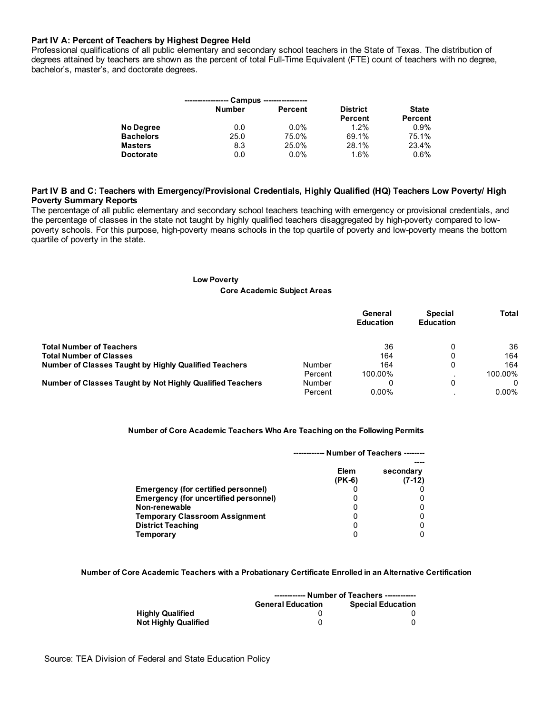# Part IV A: Percent of Teachers by Highest Degree Held

Professional qualifications of all public elementary and secondary school teachers in the State of Texas. The distribution of degrees attained by teachers are shown as the percent of total Full-Time Equivalent (FTE) count of teachers with no degree, bachelor's, master's, and doctorate degrees.

|                  |               | Campus ----------------- |                 |                |
|------------------|---------------|--------------------------|-----------------|----------------|
|                  | <b>Number</b> | <b>Percent</b>           | <b>District</b> | <b>State</b>   |
|                  |               |                          | <b>Percent</b>  | <b>Percent</b> |
| No Degree        | 0.0           | $0.0\%$                  | $1.2\%$         | 0.9%           |
| <b>Bachelors</b> | 25.0          | 75.0%                    | 69.1%           | 75.1%          |
| <b>Masters</b>   | 8.3           | 25.0%                    | 28.1%           | 23.4%          |
| <b>Doctorate</b> | 0.0           | $0.0\%$                  | 1.6%            | 0.6%           |

# Part IV B and C: Teachers with Emergency/Provisional Credentials, Highly Qualified (HQ) Teachers Low Poverty/ High Poverty Summary Reports

The percentage of all public elementary and secondary school teachers teaching with emergency or provisional credentials, and the percentage of classes in the state not taught by highly qualified teachers disaggregated by high-poverty compared to lowpoverty schools. For this purpose, high-poverty means schools in the top quartile of poverty and low-poverty means the bottom quartile of poverty in the state.

## Low Poverty

#### Core Academic Subject Areas

|                                                           |         | General<br><b>Education</b> | <b>Special</b><br><b>Education</b> | Total    |
|-----------------------------------------------------------|---------|-----------------------------|------------------------------------|----------|
| <b>Total Number of Teachers</b>                           |         | 36                          | 0                                  | 36       |
| <b>Total Number of Classes</b>                            |         | 164                         | 0                                  | 164      |
| Number of Classes Taught by Highly Qualified Teachers     | Number  | 164                         | 0                                  | 164      |
|                                                           | Percent | 100.00%                     |                                    | 100.00%  |
| Number of Classes Taught by Not Highly Qualified Teachers | Number  |                             | 0                                  |          |
|                                                           | Percent | $0.00\%$                    |                                    | $0.00\%$ |

## Number of Core Academic Teachers Who Are Teaching on the Following Permits

|                                              |                  | Number of Teachers -------- |
|----------------------------------------------|------------------|-----------------------------|
|                                              | Elem<br>$(PK-6)$ | secondary<br>$(7-12)$       |
| <b>Emergency (for certified personnel)</b>   |                  |                             |
| <b>Emergency (for uncertified personnel)</b> |                  |                             |
| Non-renewable                                | O                |                             |
| <b>Temporary Classroom Assignment</b>        |                  |                             |
| <b>District Teaching</b>                     | 0                |                             |
| Temporary                                    |                  |                             |

## Number of Core Academic Teachers with a Probationary Certificate Enrolled in an Alternative Certification

|                             | ------------ Number of Teachers ------------ |                          |  |  |  |  |
|-----------------------------|----------------------------------------------|--------------------------|--|--|--|--|
|                             | <b>General Education</b>                     | <b>Special Education</b> |  |  |  |  |
| <b>Highly Qualified</b>     |                                              |                          |  |  |  |  |
| <b>Not Highly Qualified</b> |                                              |                          |  |  |  |  |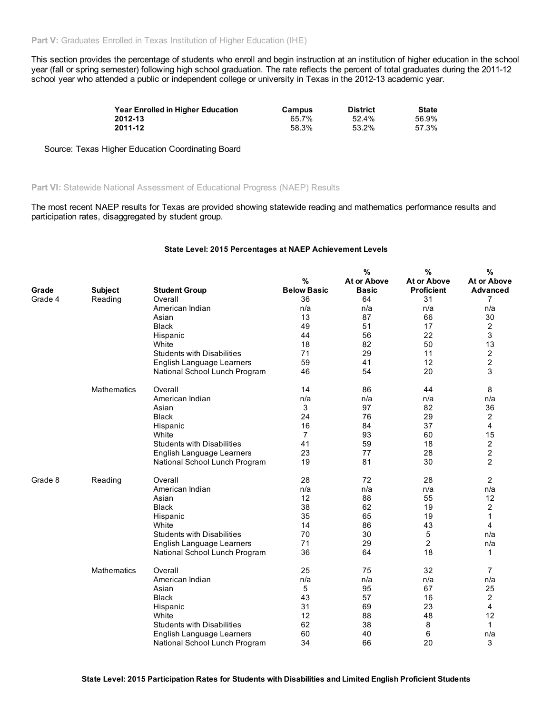This section provides the percentage of students who enroll and begin instruction at an institution of higher education in the school year (fall or spring semester) following high school graduation. The rate reflects the percent of total graduates during the 2011-12 school year who attended a public or independent college or university in Texas in the 2012-13 academic year.

| Year Enrolled in Higher Education | Campus | <b>District</b> | <b>State</b> |
|-----------------------------------|--------|-----------------|--------------|
| 2012-13                           | 65.7%  | 52.4%           | 56.9%        |
| 2011-12                           | 58.3%  | 53.2%           | 57.3%        |

Source: Texas Higher Education Coordinating Board

Part VI: Statewide National Assessment of Educational Progress (NAEP) Results

The most recent NAEP results for Texas are provided showing statewide reading and mathematics performance results and participation rates, disaggregated by student group.

## State Level: 2015 Percentages at NAEP Achievement Levels

|         |                    |                                   | %                  | %<br>At or Above | %<br>At or Above  | %<br><b>At or Above</b> |
|---------|--------------------|-----------------------------------|--------------------|------------------|-------------------|-------------------------|
| Grade   | <b>Subject</b>     | <b>Student Group</b>              | <b>Below Basic</b> | <b>Basic</b>     | <b>Proficient</b> | <b>Advanced</b>         |
| Grade 4 | Reading            | Overall                           | 36                 | 64               | 31                | 7                       |
|         |                    | American Indian                   | n/a                | n/a              | n/a               | n/a                     |
|         |                    | Asian                             | 13                 | 87               | 66                | 30                      |
|         |                    | <b>Black</b>                      | 49                 | 51               | 17                | 2                       |
|         |                    | Hispanic                          | 44                 | 56               | 22                | 3                       |
|         |                    | White                             | 18                 | 82               | 50                | 13                      |
|         |                    | <b>Students with Disabilities</b> | 71                 | 29               | 11                | 2                       |
|         |                    | English Language Learners         | 59                 | 41               | 12                | $\overline{c}$          |
|         |                    | National School Lunch Program     | 46                 | 54               | 20                | 3                       |
|         | <b>Mathematics</b> | Overall                           | 14                 | 86               | 44                | 8                       |
|         |                    | American Indian                   | n/a                | n/a              | n/a               | n/a                     |
|         |                    | Asian                             | 3                  | 97               | 82                | 36                      |
|         |                    | <b>Black</b>                      | 24                 | 76               | 29                | 2                       |
|         |                    | Hispanic                          | 16                 | 84               | 37                | $\overline{4}$          |
|         |                    | White                             | $\overline{7}$     | 93               | 60                | 15                      |
|         |                    | <b>Students with Disabilities</b> | 41                 | 59               | 18                | 2                       |
|         |                    | English Language Learners         | 23                 | 77               | 28                | 2                       |
|         |                    | National School Lunch Program     | 19                 | 81               | 30                | $\overline{2}$          |
| Grade 8 | Reading            | Overall                           | 28                 | 72               | 28                | 2                       |
|         |                    | American Indian                   | n/a                | n/a              | n/a               | n/a                     |
|         |                    | Asian                             | 12                 | 88               | 55                | 12                      |
|         |                    | <b>Black</b>                      | 38                 | 62               | 19                | 2                       |
|         |                    | Hispanic                          | 35                 | 65               | 19                | 1                       |
|         |                    | White                             | 14                 | 86               | 43                | 4                       |
|         |                    | <b>Students with Disabilities</b> | 70                 | 30               | 5                 | n/a                     |
|         |                    | English Language Learners         | 71                 | 29               | $\overline{c}$    | n/a                     |
|         |                    | National School Lunch Program     | 36                 | 64               | 18                | 1                       |
|         | <b>Mathematics</b> | Overall                           | 25                 | 75               | 32                | 7                       |
|         |                    | American Indian                   | n/a                | n/a              | n/a               | n/a                     |
|         |                    | Asian                             | 5                  | 95               | 67                | 25                      |
|         |                    | <b>Black</b>                      | 43                 | 57               | 16                | 2                       |
|         |                    | Hispanic                          | 31                 | 69               | 23                | 4                       |
|         |                    | White                             | 12                 | 88               | 48                | 12                      |
|         |                    | <b>Students with Disabilities</b> | 62                 | 38               | 8                 | 1                       |
|         |                    | English Language Learners         | 60                 | 40               | 6                 | n/a                     |
|         |                    | National School Lunch Program     | 34                 | 66               | 20                | 3                       |